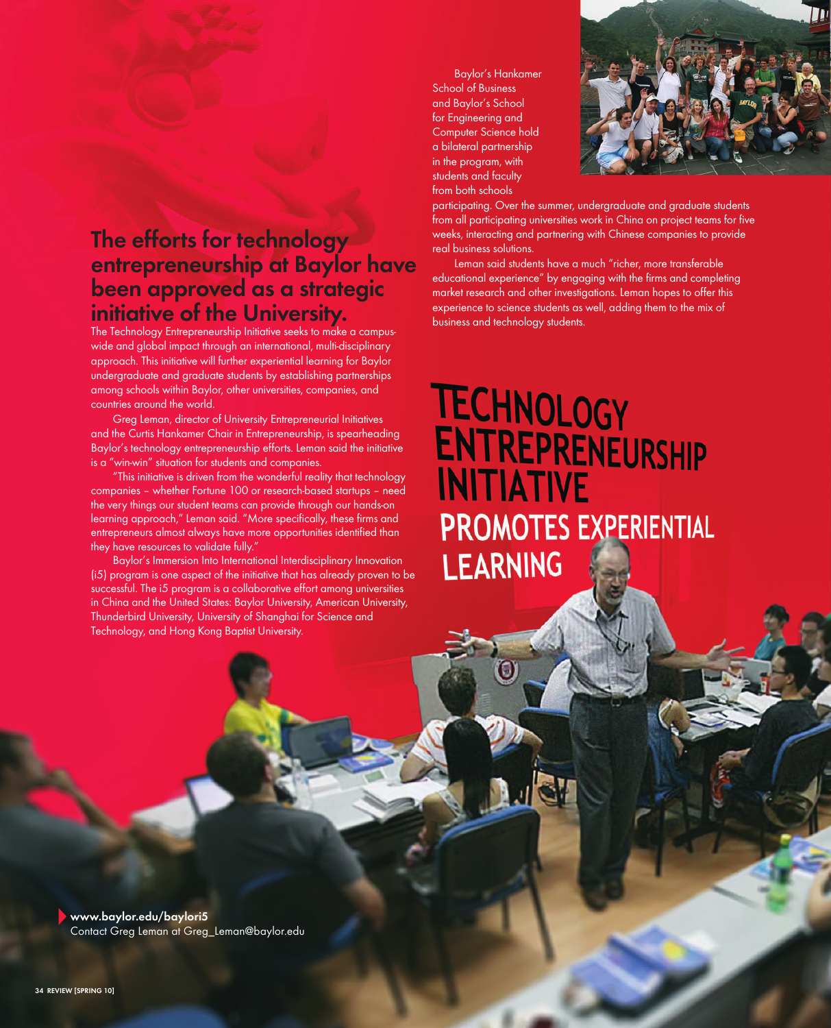## **The efforts for technology entrepreneurship at Baylor have been approved as a strategic initiative of the University.**

The Technology Entrepreneurship Initiative seeks to make a campuswide and global impact through an international, multi-disciplinary approach. This initiative will further experiential learning for Baylor undergraduate and graduate students by establishing partnerships among schools within Baylor, other universities, companies, and countries around the world.

Greg Leman, director of University Entrepreneurial Initiatives and the Curtis Hankamer Chair in Entrepreneurship, is spearheading Baylor's technology entrepreneurship efforts. Leman said the initiative is a "win-win" situation for students and companies.

"This initiative is driven from the wonderful reality that technology companies – whether Fortune 100 or research-based startups – need the very things our student teams can provide through our hands-on learning approach," Leman said. "More specifically, these firms and entrepreneurs almost always have more opportunities identified than they have resources to validate fully."

Baylor's Immersion Into International Interdisciplinary Innovation (i5) program is one aspect of the initiative that has already proven to be successful. The i5 program is a collaborative effort among universities in China and the United States: Baylor University, American University, Thunderbird University, University of Shanghai for Science and Technology, and Hong Kong Baptist University.

Baylor's Hankamer School of Business and Baylor's School for Engineering and Computer Science hold a bilateral partnership in the program, with students and faculty from both schools



participating. Over the summer, undergraduate and graduate students from all participating universities work in China on project teams for five weeks, interacting and partnering with Chinese companies to provide real business solutions.

Leman said students have a much "richer, more transferable educational experience" by engaging with the firms and completing market research and other investigations. Leman hopes to offer this experience to science students as well, adding them to the mix of business and technology students.

## **TECHNOLOGY** ENTREPRENEURSHIP **INITIATIVE PROMOTES EXPERIENTIAL LEARNING**

**www.baylor.edu/baylori5** Contact Greg Leman at Greg\_Leman@baylor.edu